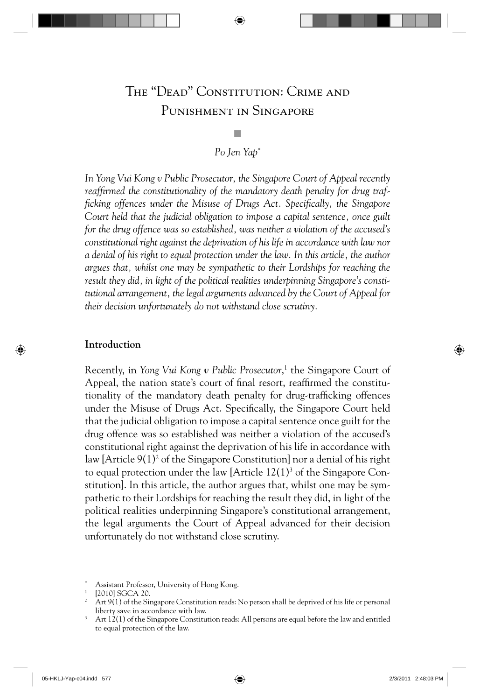# The "Dead" Constitution: Crime and Punishment in Singapore

## Q *Po Jen Yap*\*

*In Yong Vui Kong v Public Prosecutor, the Singapore Court of Appeal recently*  reaffirmed the constitutionality of the mandatory death penalty for drug traf*ficking offences under the Misuse of Drugs Act. Specifically, the Singapore Court held that the judicial obligation to impose a capital sentence, once guilt for the drug offence was so established, was neither a violation of the accused's constitutional right against the deprivation of his life in accordance with law nor a denial of his right to equal protection under the law. In this article, the author argues that, whilst one may be sympathetic to their Lordships for reaching the result they did, in light of the political realities underpinning Singapore's constitutional arrangement, the legal arguments advanced by the Court of Appeal for their decision unfortunately do not withstand close scrutiny.* 

#### **Introduction**

Recently, in *Yong Vui Kong v Public Prosecutor*, 1 the Singapore Court of Appeal, the nation state's court of final resort, reaffirmed the constitutionality of the mandatory death penalty for drug-trafficking offences under the Misuse of Drugs Act. Specifically, the Singapore Court held that the judicial obligation to impose a capital sentence once guilt for the drug offence was so established was neither a violation of the accused's constitutional right against the deprivation of his life in accordance with law [Article 9(1)<sup>2</sup> of the Singapore Constitution] nor a denial of his right to equal protection under the law [Article  $12(1)^3$  of the Singapore Constitution]. In this article, the author argues that, whilst one may be sympathetic to their Lordships for reaching the result they did, in light of the political realities underpinning Singapore's constitutional arrangement, the legal arguments the Court of Appeal advanced for their decision unfortunately do not withstand close scrutiny.

<sup>\*</sup> Assistant Professor, University of Hong Kong.

 $2$  Art 9(1) of the Singapore Constitution reads: No person shall be deprived of his life or personal liberty save in accordance with law.

 $3$  Art  $12(1)$  of the Singapore Constitution reads: All persons are equal before the law and entitled to equal protection of the law.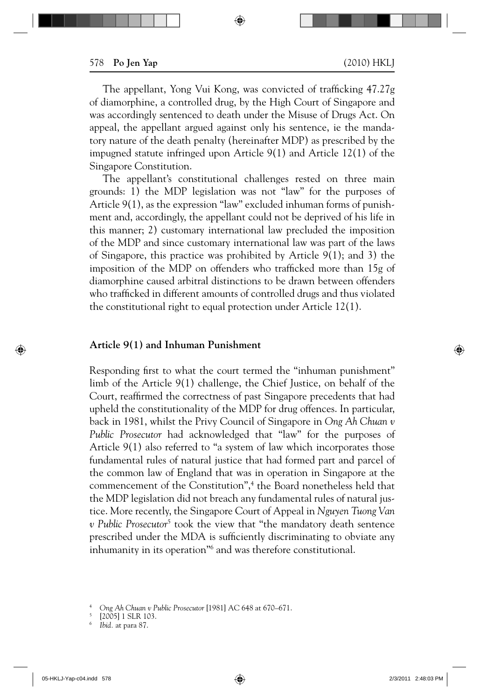The appellant, Yong Vui Kong, was convicted of trafficking 47.27g of diamorphine, a controlled drug, by the High Court of Singapore and was accordingly sentenced to death under the Misuse of Drugs Act. On appeal, the appellant argued against only his sentence, ie the mandatory nature of the death penalty (hereinafter MDP) as prescribed by the impugned statute infringed upon Article 9(1) and Article 12(1) of the Singapore Constitution.

The appellant's constitutional challenges rested on three main grounds: 1) the MDP legislation was not "law" for the purposes of Article 9(1), as the expression "law" excluded inhuman forms of punishment and, accordingly, the appellant could not be deprived of his life in this manner; 2) customary international law precluded the imposition of the MDP and since customary international law was part of the laws of Singapore, this practice was prohibited by Article 9(1); and 3) the imposition of the MDP on offenders who trafficked more than 15g of diamorphine caused arbitral distinctions to be drawn between offenders who trafficked in different amounts of controlled drugs and thus violated the constitutional right to equal protection under Article 12(1).

#### **Article 9(1) and Inhuman Punishment**

Responding first to what the court termed the "inhuman punishment" limb of the Article 9(1) challenge, the Chief Justice, on behalf of the Court, reaffirmed the correctness of past Singapore precedents that had upheld the constitutionality of the MDP for drug offences. In particular, back in 1981, whilst the Privy Council of Singapore in *Ong Ah Chuan v Public Prosecutor* had acknowledged that "law" for the purposes of Article 9(1) also referred to "a system of law which incorporates those fundamental rules of natural justice that had formed part and parcel of the common law of England that was in operation in Singapore at the commencement of the Constitution",<sup>4</sup> the Board nonetheless held that the MDP legislation did not breach any fundamental rules of natural justice. More recently, the Singapore Court of Appeal in *Nguyen Tuong Van v Public Prosecutor*<sup>5</sup> took the view that "the mandatory death sentence prescribed under the MDA is sufficiently discriminating to obviate any inhumanity in its operation<sup>"6</sup> and was therefore constitutional.

<sup>4</sup>*Ong Ah Chuan v Public Prosecutor* [1981] AC 648 at 670–671.

<sup>5 [2005] 1</sup> SLR 103. 6 *Ibid.* at para 87.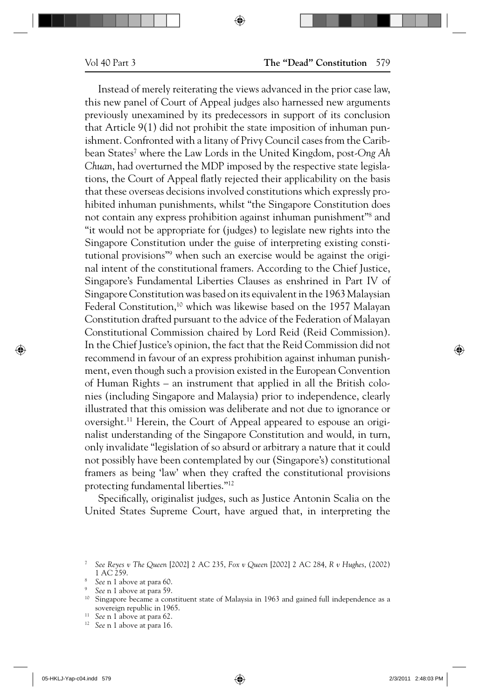Instead of merely reiterating the views advanced in the prior case law, this new panel of Court of Appeal judges also harnessed new arguments previously unexamined by its predecessors in support of its conclusion that Article 9(1) did not prohibit the state imposition of inhuman punishment. Confronted with a litany of Privy Council cases from the Caribbean States7 where the Law Lords in the United Kingdom, post-*Ong Ah Chuan*, had overturned the MDP imposed by the respective state legislations, the Court of Appeal flatly rejected their applicability on the basis that these overseas decisions involved constitutions which expressly prohibited inhuman punishments, whilst "the Singapore Constitution does not contain any express prohibition against inhuman punishment"8 and "it would not be appropriate for (judges) to legislate new rights into the Singapore Constitution under the guise of interpreting existing constitutional provisions"<sup>9</sup> when such an exercise would be against the original intent of the constitutional framers. According to the Chief Justice, Singapore's Fundamental Liberties Clauses as enshrined in Part IV of Singapore Constitution was based on its equivalent in the 1963 Malaysian Federal Constitution,<sup>10</sup> which was likewise based on the 1957 Malayan Constitution drafted pursuant to the advice of the Federation of Malayan Constitutional Commission chaired by Lord Reid (Reid Commission). In the Chief Justice's opinion, the fact that the Reid Commission did not recommend in favour of an express prohibition against inhuman punishment, even though such a provision existed in the European Convention of Human Rights – an instrument that applied in all the British colonies (including Singapore and Malaysia) prior to independence, clearly illustrated that this omission was deliberate and not due to ignorance or oversight.11 Herein, the Court of Appeal appeared to espouse an originalist understanding of the Singapore Constitution and would, in turn, only invalidate "legislation of so absurd or arbitrary a nature that it could not possibly have been contemplated by our (Singapore's) constitutional framers as being 'law' when they crafted the constitutional provisions protecting fundamental liberties."12

Specifically, originalist judges, such as Justice Antonin Scalia on the United States Supreme Court, have argued that, in interpreting the

- <sup>11</sup> See n 1 above at para 62.<br><sup>12</sup> See n 1 above at para 16.
- 

<sup>7</sup>*See Reyes v The Queen* [2002] 2 AC 235, *Fox v Queen* [2002] 2 AC 284, *R v Hughes*, (2002) 1 AC 259.<br><sup>8</sup> See n 1 above at para 60.

<sup>&</sup>lt;sup>9</sup> See n 1 above at para 59.<br><sup>10</sup> Singapore became a constituent state of Malaysia in 1963 and gained full independence as a sovereign republic in 1965.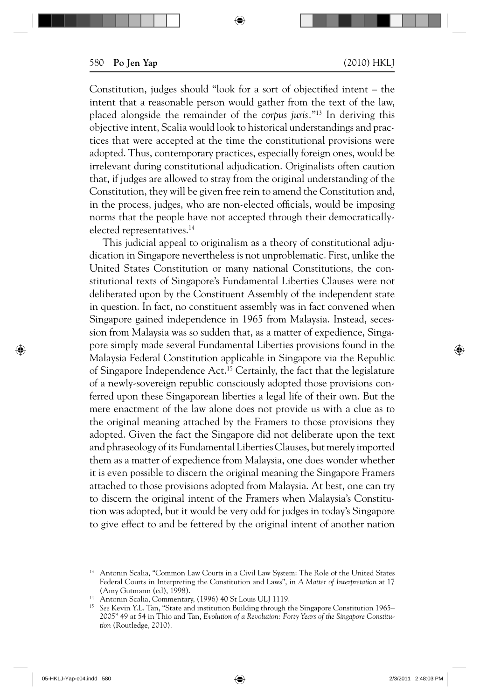Constitution, judges should "look for a sort of objectified intent  $-$  the intent that a reasonable person would gather from the text of the law, placed alongside the remainder of the *corpus juris.*"13 In deriving this objective intent, Scalia would look to historical understandings and practices that were accepted at the time the constitutional provisions were adopted. Thus, contemporary practices, especially foreign ones, would be irrelevant during constitutional adjudication. Originalists often caution that, if judges are allowed to stray from the original understanding of the Constitution, they will be given free rein to amend the Constitution and, in the process, judges, who are non-elected officials, would be imposing norms that the people have not accepted through their democraticallyelected representatives.14

This judicial appeal to originalism as a theory of constitutional adjudication in Singapore nevertheless is not unproblematic. First, unlike the United States Constitution or many national Constitutions, the constitutional texts of Singapore's Fundamental Liberties Clauses were not deliberated upon by the Constituent Assembly of the independent state in question. In fact, no constituent assembly was in fact convened when Singapore gained independence in 1965 from Malaysia. Instead, secession from Malaysia was so sudden that, as a matter of expedience, Singapore simply made several Fundamental Liberties provisions found in the Malaysia Federal Constitution applicable in Singapore via the Republic of Singapore Independence Act.15 Certainly, the fact that the legislature of a newly-sovereign republic consciously adopted those provisions conferred upon these Singaporean liberties a legal life of their own. But the mere enactment of the law alone does not provide us with a clue as to the original meaning attached by the Framers to those provisions they adopted. Given the fact the Singapore did not deliberate upon the text and phraseology of its Fundamental Liberties Clauses, but merely imported them as a matter of expedience from Malaysia, one does wonder whether it is even possible to discern the original meaning the Singapore Framers attached to those provisions adopted from Malaysia. At best, one can try to discern the original intent of the Framers when Malaysia's Constitution was adopted, but it would be very odd for judges in today's Singapore to give effect to and be fettered by the original intent of another nation

<sup>&</sup>lt;sup>13</sup> Antonin Scalia, "Common Law Courts in a Civil Law System: The Role of the United States Federal Courts in Interpreting the Constitution and Laws", in *A Matter of Interpretation* at 17

<sup>(</sup>Amy Gutmann (ed), 1998).<br><sup>14</sup> Antonin Scalia, Commentary, (1996) 40 St Louis ULJ 1119.

<sup>&</sup>lt;sup>15</sup> See Kevin Y.L. Tan, "State and institution Building through the Singapore Constitution 1965– 2005" 49 at 54 in Thio and Tan, *Evolution of a Revolution: Forty Years of the Singapore Constitution* (Routledge, 2010).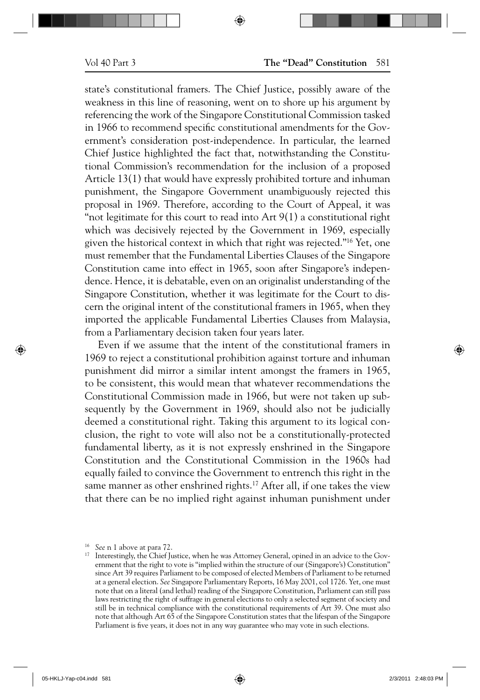state's constitutional framers. The Chief Justice, possibly aware of the weakness in this line of reasoning, went on to shore up his argument by referencing the work of the Singapore Constitutional Commission tasked in 1966 to recommend specific constitutional amendments for the Government's consideration post-independence. In particular, the learned Chief Justice highlighted the fact that, notwithstanding the Constitutional Commission's recommendation for the inclusion of a proposed Article 13(1) that would have expressly prohibited torture and inhuman punishment, the Singapore Government unambiguously rejected this proposal in 1969. Therefore, according to the Court of Appeal, it was "not legitimate for this court to read into  $Art 9(1)$  a constitutional right which was decisively rejected by the Government in 1969, especially given the historical context in which that right was rejected."16 Yet, one must remember that the Fundamental Liberties Clauses of the Singapore Constitution came into effect in 1965, soon after Singapore's independence. Hence, it is debatable, even on an originalist understanding of the Singapore Constitution, whether it was legitimate for the Court to discern the original intent of the constitutional framers in 1965, when they imported the applicable Fundamental Liberties Clauses from Malaysia, from a Parliamentary decision taken four years later.

Even if we assume that the intent of the constitutional framers in 1969 to reject a constitutional prohibition against torture and inhuman punishment did mirror a similar intent amongst the framers in 1965, to be consistent, this would mean that whatever recommendations the Constitutional Commission made in 1966, but were not taken up subsequently by the Government in 1969, should also not be judicially deemed a constitutional right. Taking this argument to its logical conclusion, the right to vote will also not be a constitutionally-protected fundamental liberty, as it is not expressly enshrined in the Singapore Constitution and the Constitutional Commission in the 1960s had equally failed to convince the Government to entrench this right in the same manner as other enshrined rights.<sup>17</sup> After all, if one takes the view that there can be no implied right against inhuman punishment under

<sup>&</sup>lt;sup>16</sup> See n 1 above at para 72.<br><sup>17</sup> Interestingly, the Chief Justice, when he was Attorney General, opined in an advice to the Government that the right to vote is "implied within the structure of our (Singapore's) Constitution" since Art 39 requires Parliament to be composed of elected Members of Parliament to be returned at a general election. *See* Singapore Parliamentary Reports, 16 May 2001, col 1726. Yet, one must note that on a literal (and lethal) reading of the Singapore Constitution, Parliament can still pass laws restricting the right of suffrage in general elections to only a selected segment of society and still be in technical compliance with the constitutional requirements of Art 39. One must also note that although Art 65 of the Singapore Constitution states that the lifespan of the Singapore Parliament is five years, it does not in any way guarantee who may vote in such elections.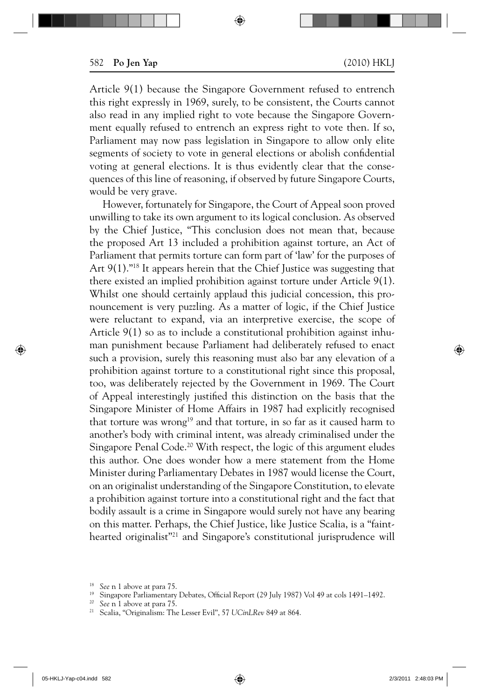Article 9(1) because the Singapore Government refused to entrench this right expressly in 1969, surely, to be consistent, the Courts cannot also read in any implied right to vote because the Singapore Government equally refused to entrench an express right to vote then. If so, Parliament may now pass legislation in Singapore to allow only elite segments of society to vote in general elections or abolish confidential voting at general elections. It is thus evidently clear that the consequences of this line of reasoning, if observed by future Singapore Courts, would be very grave.

However, fortunately for Singapore, the Court of Appeal soon proved unwilling to take its own argument to its logical conclusion. As observed by the Chief Justice, "This conclusion does not mean that, because the proposed Art 13 included a prohibition against torture, an Act of Parliament that permits torture can form part of 'law' for the purposes of Art 9(1)."18 It appears herein that the Chief Justice was suggesting that there existed an implied prohibition against torture under Article 9(1). Whilst one should certainly applaud this judicial concession, this pronouncement is very puzzling. As a matter of logic, if the Chief Justice were reluctant to expand, via an interpretive exercise, the scope of Article 9(1) so as to include a constitutional prohibition against inhuman punishment because Parliament had deliberately refused to enact such a provision, surely this reasoning must also bar any elevation of a prohibition against torture to a constitutional right since this proposal, too, was deliberately rejected by the Government in 1969. The Court of Appeal interestingly justified this distinction on the basis that the Singapore Minister of Home Affairs in 1987 had explicitly recognised that torture was wrong<sup>19</sup> and that torture, in so far as it caused harm to another's body with criminal intent, was already criminalised under the Singapore Penal Code.<sup>20</sup> With respect, the logic of this argument eludes this author. One does wonder how a mere statement from the Home Minister during Parliamentary Debates in 1987 would license the Court, on an originalist understanding of the Singapore Constitution, to elevate a prohibition against torture into a constitutional right and the fact that bodily assault is a crime in Singapore would surely not have any bearing on this matter. Perhaps, the Chief Justice, like Justice Scalia, is a "fainthearted originalist"21 and Singapore's constitutional jurisprudence will

<sup>&</sup>lt;sup>18</sup> See n 1 above at para 75.<br><sup>19</sup> Singapore Parliamentary Debates, Official Report (29 July 1987) Vol 49 at cols 1491–1492.<br><sup>20</sup> See n 1 above at para 75.<br><sup>21</sup> Scalia, "Originalism: The Lesser Evil", 57 UCinLRev 849 at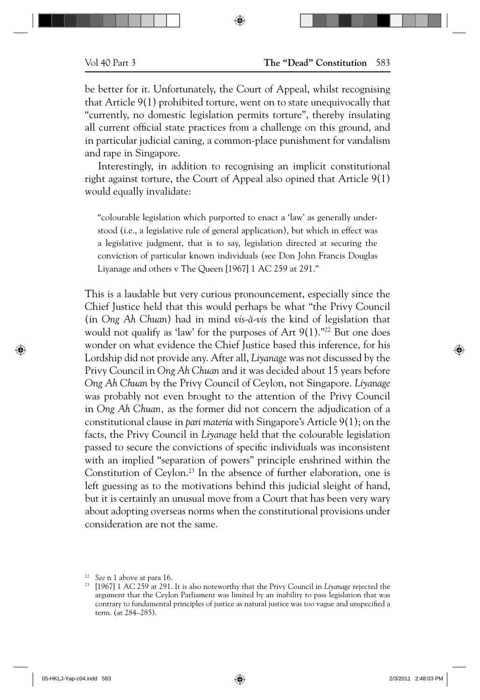be better for it. Unfortunately, the Court of Appeal, whilst recognising that Article 9(1) prohibited torture, went on to state unequivocally that "currently, no domestic legislation permits torture", thereby insulating all current official state practices from a challenge on this ground, and in particular judicial caning, a common-place punishment for vandalism and rape in Singapore.

Interestingly, in addition to recognising an implicit constitutional right against torture, the Court of Appeal also opined that Article 9(1) would equally invalidate:

"colourable legislation which purported to enact a 'law' as generally understood (i.e., a legislative rule of general application), but which in effect was a legislative judgment, that is to say, legislation directed at securing the conviction of particular known individuals (see Don John Francis Douglas Liyanage and others v The Queen [1967] 1 AC 259 at 291."

This is a laudable but very curious pronouncement, especially since the Chief Justice held that this would perhaps be what "the Privy Council (in *Ong Ah Chuan*) had in mind *vis-à-vis* the kind of legislation that would not qualify as 'law' for the purposes of Art  $9(1)$ ."<sup>22</sup> But one does wonder on what evidence the Chief Justice based this inference, for his Lordship did not provide any. After all, *Liyanage* was not discussed by the Privy Council in *Ong Ah Chuan* and it was decided about 15 years before *Ong Ah Chuan* by the Privy Council of Ceylon, not Singapore. *Liyanage*  was probably not even brought to the attention of the Privy Council in *Ong Ah Chuan,* as the former did not concern the adjudication of a constitutional clause in *pari materia* with Singapore's Article 9(1); on the facts, the Privy Council in *Liyanage* held that the colourable legislation passed to secure the convictions of specific individuals was inconsistent with an implied "separation of powers" principle enshrined within the Constitution of Ceylon.<sup>23</sup> In the absence of further elaboration, one is left guessing as to the motivations behind this judicial sleight of hand, but it is certainly an unusual move from a Court that has been very wary about adopting overseas norms when the constitutional provisions under consideration are not the same.

<sup>22</sup>*See* n 1 above at para 16. 23 [1967] 1 AC 259 at 291. It is also noteworthy that the Privy Council in *Liyanage* rejected the argument that the Ceylon Parliament was limited by an inability to pass legislation that was contrary to fundamental principles of justice as natural justice was too vague and unspecified a term. (at 284–285).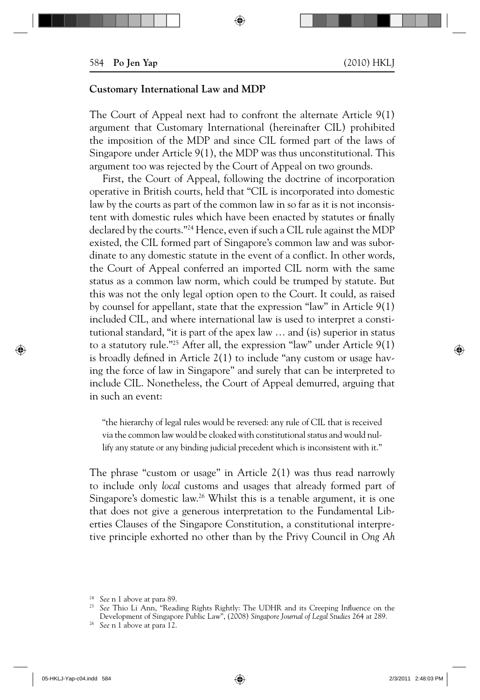#### **Customary International Law and MDP**

The Court of Appeal next had to confront the alternate Article 9(1) argument that Customary International (hereinafter CIL) prohibited the imposition of the MDP and since CIL formed part of the laws of Singapore under Article 9(1), the MDP was thus unconstitutional. This argument too was rejected by the Court of Appeal on two grounds.

First, the Court of Appeal, following the doctrine of incorporation operative in British courts, held that "CIL is incorporated into domestic law by the courts as part of the common law in so far as it is not inconsistent with domestic rules which have been enacted by statutes or finally declared by the courts."24 Hence, even if such a CIL rule against the MDP existed, the CIL formed part of Singapore's common law and was subordinate to any domestic statute in the event of a conflict. In other words, the Court of Appeal conferred an imported CIL norm with the same status as a common law norm, which could be trumped by statute. But this was not the only legal option open to the Court. It could, as raised by counsel for appellant, state that the expression "law" in Article 9(1) included CIL, and where international law is used to interpret a constitutional standard, "it is part of the apex law … and (is) superior in status to a statutory rule."25 After all, the expression "law" under Article 9(1) is broadly defined in Article  $2(1)$  to include "any custom or usage having the force of law in Singapore" and surely that can be interpreted to include CIL. Nonetheless, the Court of Appeal demurred, arguing that in such an event:

"the hierarchy of legal rules would be reversed: any rule of CIL that is received via the common law would be cloaked with constitutional status and would nullify any statute or any binding judicial precedent which is inconsistent with it."

The phrase "custom or usage" in Article 2(1) was thus read narrowly to include only *local* customs and usages that already formed part of Singapore's domestic law.26 Whilst this is a tenable argument, it is one that does not give a generous interpretation to the Fundamental Liberties Clauses of the Singapore Constitution, a constitutional interpretive principle exhorted no other than by the Privy Council in *Ong Ah* 

<sup>&</sup>lt;sup>24</sup> See n 1 above at para 89.<br><sup>25</sup> See Thio Li Ann, "Reading Rights Rightly: The UDHR and its Creeping Influence on the Development of Singapore Public Law", (2008) *Singapore Journal of Legal Studies* 264 at 289. 26 *See* n 1 above at para 12.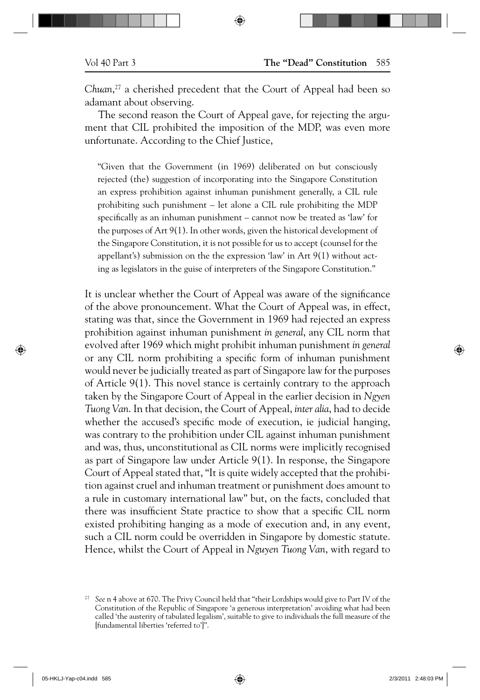*Chuan*, 27 a cherished precedent that the Court of Appeal had been so adamant about observing.

The second reason the Court of Appeal gave, for rejecting the argument that CIL prohibited the imposition of the MDP, was even more unfortunate. According to the Chief Justice,

"Given that the Government (in 1969) deliberated on but consciously rejected (the) suggestion of incorporating into the Singapore Constitution an express prohibition against inhuman punishment generally, a CIL rule prohibiting such punishment – let alone a CIL rule prohibiting the MDP specifically as an inhuman punishment – cannot now be treated as 'law' for the purposes of Art 9(1). In other words, given the historical development of the Singapore Constitution, it is not possible for us to accept (counsel for the appellant's) submission on the the expression 'law' in Art 9(1) without acting as legislators in the guise of interpreters of the Singapore Constitution."

It is unclear whether the Court of Appeal was aware of the significance of the above pronouncement. What the Court of Appeal was, in effect, stating was that, since the Government in 1969 had rejected an express prohibition against inhuman punishment *in general*, any CIL norm that evolved after 1969 which might prohibit inhuman punishment *in general* or any CIL norm prohibiting a specific form of inhuman punishment would never be judicially treated as part of Singapore law for the purposes of Article 9(1). This novel stance is certainly contrary to the approach taken by the Singapore Court of Appeal in the earlier decision in *Ngyen Tuong Van*. In that decision, the Court of Appeal, *inter alia*, had to decide whether the accused's specific mode of execution, ie judicial hanging, was contrary to the prohibition under CIL against inhuman punishment and was, thus, unconstitutional as CIL norms were implicitly recognised as part of Singapore law under Article 9(1). In response, the Singapore Court of Appeal stated that, "It is quite widely accepted that the prohibition against cruel and inhuman treatment or punishment does amount to a rule in customary international law" but, on the facts, concluded that there was insufficient State practice to show that a specific CIL norm existed prohibiting hanging as a mode of execution and, in any event, such a CIL norm could be overridden in Singapore by domestic statute. Hence, whilst the Court of Appeal in *Nguyen Tuong Van*, with regard to

<sup>27</sup>*See* n 4 above at 670. The Privy Council held that "their Lordships would give to Part IV of the Constitution of the Republic of Singapore 'a generous interpretation' avoiding what had been called 'the austerity of tabulated legalism', suitable to give to individuals the full measure of the [fundamental liberties 'referred to']".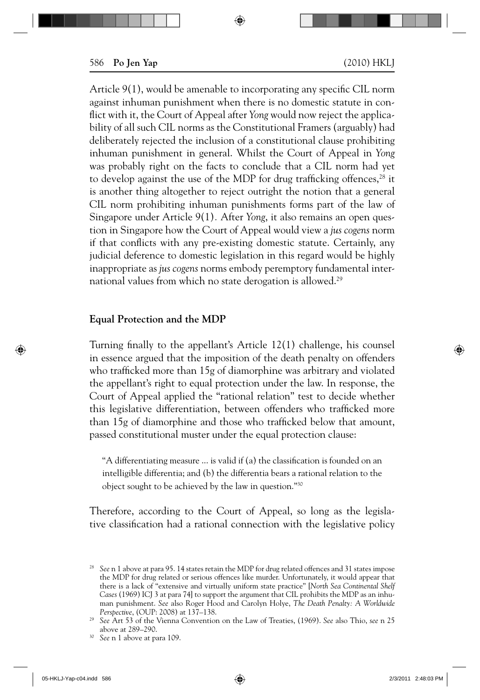Article  $9(1)$ , would be amenable to incorporating any specific CIL norm against inhuman punishment when there is no domestic statute in conflict with it, the Court of Appeal after *Yong* would now reject the applicability of all such CIL norms as the Constitutional Framers (arguably) had deliberately rejected the inclusion of a constitutional clause prohibiting inhuman punishment in general. Whilst the Court of Appeal in *Yong* was probably right on the facts to conclude that a CIL norm had yet to develop against the use of the MDP for drug trafficking offences, $^{28}$  it is another thing altogether to reject outright the notion that a general CIL norm prohibiting inhuman punishments forms part of the law of Singapore under Article 9(1)*.* After *Yong*, it also remains an open question in Singapore how the Court of Appeal would view a *jus cogens* norm if that conflicts with any pre-existing domestic statute. Certainly, any judicial deference to domestic legislation in this regard would be highly inappropriate as *jus cogens* norms embody peremptory fundamental international values from which no state derogation is allowed.<sup>29</sup>

### **Equal Protection and the MDP**

Turning finally to the appellant's Article  $12(1)$  challenge, his counsel in essence argued that the imposition of the death penalty on offenders who trafficked more than 15g of diamorphine was arbitrary and violated the appellant's right to equal protection under the law. In response, the Court of Appeal applied the "rational relation" test to decide whether this legislative differentiation, between offenders who trafficked more than 15g of diamorphine and those who trafficked below that amount, passed constitutional muster under the equal protection clause:

"A differentiating measure  $\ldots$  is valid if (a) the classification is founded on an intelligible differentia; and (b) the differentia bears a rational relation to the object sought to be achieved by the law in question."30

Therefore, according to the Court of Appeal, so long as the legislative classification had a rational connection with the legislative policy

<sup>&</sup>lt;sup>28</sup> See n 1 above at para 95. 14 states retain the MDP for drug related offences and 31 states impose the MDP for drug related or serious offences like murder. Unfortunately, it would appear that there is a lack of "extensive and virtually uniform state practice" [*North Sea Continental Shelf Cases* (1969) ICJ 3 at para 74] to support the argument that CIL prohibits the MDP as an inhuman punishment. *See* also Roger Hood and Carolyn Holye, *The Death Penalty: A Worldwide* 

<sup>&</sup>lt;sup>29</sup> See Art 53 of the Vienna Convention on the Law of Treaties, (1969). *See* also Thio, *see* n 25 above at 289–290.

<sup>&</sup>lt;sup>30</sup> See n 1 above at para 109.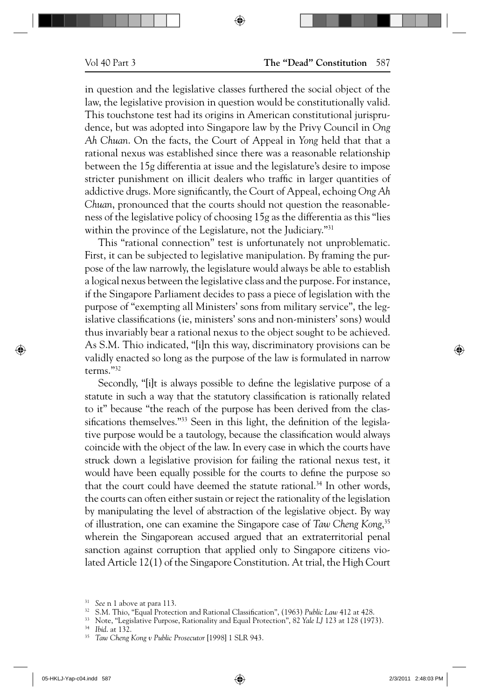in question and the legislative classes furthered the social object of the law, the legislative provision in question would be constitutionally valid. This touchstone test had its origins in American constitutional jurisprudence, but was adopted into Singapore law by the Privy Council in *Ong Ah Chuan*. On the facts, the Court of Appeal in *Yong* held that that a rational nexus was established since there was a reasonable relationship between the 15g differentia at issue and the legislature's desire to impose stricter punishment on illicit dealers who traffic in larger quantities of addictive drugs. More significantly, the Court of Appeal, echoing Ong Ah *Chuan*, pronounced that the courts should not question the reasonableness of the legislative policy of choosing 15g as the differentia as this "lies within the province of the Legislature, not the Judiciary."<sup>31</sup>

This "rational connection" test is unfortunately not unproblematic. First, it can be subjected to legislative manipulation. By framing the purpose of the law narrowly, the legislature would always be able to establish a logical nexus between the legislative class and the purpose. For instance, if the Singapore Parliament decides to pass a piece of legislation with the purpose of "exempting all Ministers' sons from military service", the legislative classifications (ie, ministers' sons and non-ministers' sons) would thus invariably bear a rational nexus to the object sought to be achieved. As S.M. Thio indicated, "[i]n this way, discriminatory provisions can be validly enacted so long as the purpose of the law is formulated in narrow terms."32

Secondly, "[i]t is always possible to define the legislative purpose of a statute in such a way that the statutory classification is rationally related to it" because "the reach of the purpose has been derived from the classifications themselves."<sup>33</sup> Seen in this light, the definition of the legislative purpose would be a tautology, because the classification would always coincide with the object of the law. In every case in which the courts have struck down a legislative provision for failing the rational nexus test, it would have been equally possible for the courts to define the purpose so that the court could have deemed the statute rational.<sup>34</sup> In other words, the courts can often either sustain or reject the rationality of the legislation by manipulating the level of abstraction of the legislative object. By way of illustration, one can examine the Singapore case of *Taw Cheng Kong*, 35 wherein the Singaporean accused argued that an extraterritorial penal sanction against corruption that applied only to Singapore citizens violated Article 12(1) of the Singapore Constitution. At trial, the High Court

<sup>&</sup>lt;sup>31</sup> See n 1 above at para 113.<br><sup>32</sup> S.M. Thio, "Equal Protection and Rational Classification", (1963) Public Law 412 at 428.<br><sup>33</sup> Note, "Legislative Purpose, Rationality and Equal Protection", 82 Yale LJ 123 at 128 (1973)

<sup>34</sup>*Ibid*. at 132.

<sup>35</sup>*Taw Cheng Kong v Public Prosecutor* [1998] 1 SLR 943.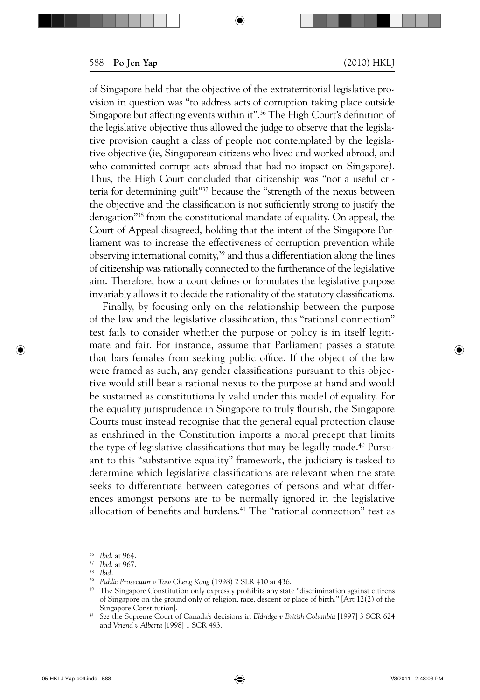of Singapore held that the objective of the extraterritorial legislative provision in question was "to address acts of corruption taking place outside Singapore but affecting events within it".<sup>36</sup> The High Court's definition of the legislative objective thus allowed the judge to observe that the legislative provision caught a class of people not contemplated by the legislative objective (ie, Singaporean citizens who lived and worked abroad, and who committed corrupt acts abroad that had no impact on Singapore). Thus, the High Court concluded that citizenship was "not a useful criteria for determining guilt"<sup>37</sup> because the "strength of the nexus between the objective and the classification is not sufficiently strong to justify the derogation<sup>338</sup> from the constitutional mandate of equality. On appeal, the Court of Appeal disagreed, holding that the intent of the Singapore Parliament was to increase the effectiveness of corruption prevention while observing international comity, $39$  and thus a differentiation along the lines of citizenship was rationally connected to the furtherance of the legislative aim. Therefore, how a court defines or formulates the legislative purpose invariably allows it to decide the rationality of the statutory classifications.

Finally, by focusing only on the relationship between the purpose of the law and the legislative classification, this "rational connection" test fails to consider whether the purpose or policy is in itself legitimate and fair. For instance, assume that Parliament passes a statute that bars females from seeking public office. If the object of the law were framed as such, any gender classifications pursuant to this objective would still bear a rational nexus to the purpose at hand and would be sustained as constitutionally valid under this model of equality. For the equality jurisprudence in Singapore to truly flourish, the Singapore Courts must instead recognise that the general equal protection clause as enshrined in the Constitution imports a moral precept that limits the type of legislative classifications that may be legally made.<sup>40</sup> Pursuant to this "substantive equality" framework, the judiciary is tasked to determine which legislative classifications are relevant when the state seeks to differentiate between categories of persons and what differences amongst persons are to be normally ignored in the legislative allocation of benefits and burdens.<sup>41</sup> The "rational connection" test as

<sup>36</sup>*Ibid*. at 964.

<sup>&</sup>lt;sup>37</sup> Ibid. at 967.<br><sup>38</sup> Ibid.<br><sup>39</sup> Public Prosecutor v Taw Cheng Kong (1998) 2 SLR 410 at 436.

<sup>&</sup>lt;sup>40</sup> The Singapore Constitution only expressly prohibits any state "discrimination against citizens of Singapore on the ground only of religion, race, descent or place of birth." [Art 12(2) of the Singapore Constitution].

<sup>41</sup>*See* the Supreme Court of Canada's decisions in *Eldridge v British Columbia* [1997] 3 SCR 624 and *Vriend v Alberta* [1998] 1 SCR 493.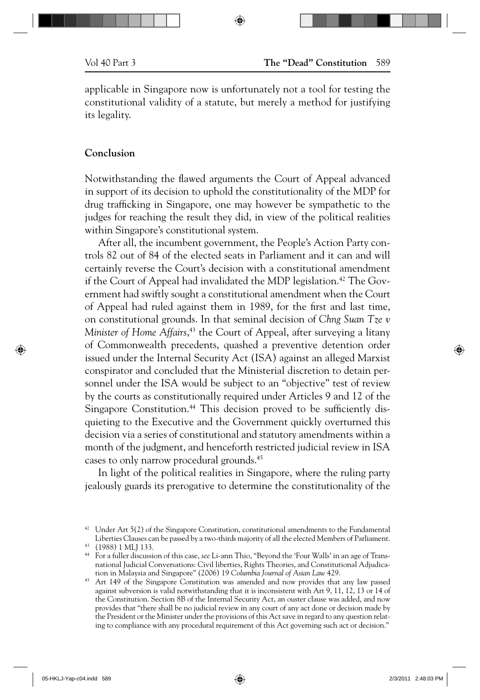applicable in Singapore now is unfortunately not a tool for testing the constitutional validity of a statute, but merely a method for justifying its legality.

#### **Conclusion**

Notwithstanding the flawed arguments the Court of Appeal advanced in support of its decision to uphold the constitutionality of the MDP for drug trafficking in Singapore, one may however be sympathetic to the judges for reaching the result they did, in view of the political realities within Singapore's constitutional system.

After all, the incumbent government, the People's Action Party controls 82 out of 84 of the elected seats in Parliament and it can and will certainly reverse the Court's decision with a constitutional amendment if the Court of Appeal had invalidated the MDP legislation.<sup>42</sup> The Government had swiftly sought a constitutional amendment when the Court of Appeal had ruled against them in 1989, for the first and last time, on constitutional grounds. In that seminal decision of *Chng Suan Tze v Minister of Home Affairs*, 43 the Court of Appeal, after surveying a litany of Commonwealth precedents, quashed a preventive detention order issued under the Internal Security Act (ISA) against an alleged Marxist conspirator and concluded that the Ministerial discretion to detain personnel under the ISA would be subject to an "objective" test of review by the courts as constitutionally required under Articles 9 and 12 of the Singapore Constitution.<sup>44</sup> This decision proved to be sufficiently disquieting to the Executive and the Government quickly overturned this decision via a series of constitutional and statutory amendments within a month of the judgment, and henceforth restricted judicial review in ISA cases to only narrow procedural grounds.45

In light of the political realities in Singapore, where the ruling party jealously guards its prerogative to determine the constitutionality of the

 $42$  Under Art 5(2) of the Singapore Constitution, constitutional amendments to the Fundamental Liberties Clauses can be passed by a two-thirds majority of all the elected Members of Parliament. 43 (1988) 1 MLJ 133.

<sup>44</sup> For a fuller discussion of this case, *see* Li-ann Thio, "Beyond the 'Four Walls' in an age of Transnational Judicial Conversations: Civil liberties, Rights Theories, and Constitutional Adjudica-

tion in Malaysia and Singapore" (2006) 19 *Columbia Journal of Asian Law* 429. 45 Art 149 of the Singapore Constitution was amended and now provides that any law passed against subversion is valid notwithstanding that it is inconsistent with Art 9, 11, 12, 13 or 14 of the Constitution. Section 8B of the Internal Security Act, an ouster clause was added, and now provides that "there shall be no judicial review in any court of any act done or decision made by the President or the Minister under the provisions of this Act save in regard to any question relating to compliance with any procedural requirement of this Act governing such act or decision."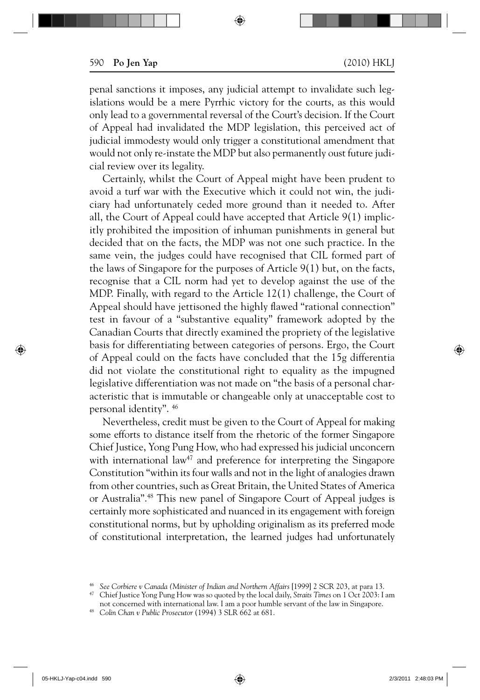penal sanctions it imposes, any judicial attempt to invalidate such legislations would be a mere Pyrrhic victory for the courts, as this would only lead to a governmental reversal of the Court's decision. If the Court of Appeal had invalidated the MDP legislation, this perceived act of judicial immodesty would only trigger a constitutional amendment that would not only re-instate the MDP but also permanently oust future judicial review over its legality.

Certainly, whilst the Court of Appeal might have been prudent to avoid a turf war with the Executive which it could not win, the judiciary had unfortunately ceded more ground than it needed to. After all, the Court of Appeal could have accepted that Article 9(1) implicitly prohibited the imposition of inhuman punishments in general but decided that on the facts, the MDP was not one such practice. In the same vein, the judges could have recognised that CIL formed part of the laws of Singapore for the purposes of Article 9(1) but, on the facts, recognise that a CIL norm had yet to develop against the use of the MDP. Finally, with regard to the Article 12(1) challenge, the Court of Appeal should have jettisoned the highly flawed "rational connection" test in favour of a "substantive equality" framework adopted by the Canadian Courts that directly examined the propriety of the legislative basis for differentiating between categories of persons. Ergo, the Court of Appeal could on the facts have concluded that the 15g differentia did not violate the constitutional right to equality as the impugned legislative differentiation was not made on "the basis of a personal characteristic that is immutable or changeable only at unacceptable cost to personal identity". 46

Nevertheless, credit must be given to the Court of Appeal for making some efforts to distance itself from the rhetoric of the former Singapore Chief Justice, Yong Pung How, who had expressed his judicial unconcern with international law<sup>47</sup> and preference for interpreting the Singapore Constitution "within its four walls and not in the light of analogies drawn from other countries, such as Great Britain, the United States of America or Australia".48 This new panel of Singapore Court of Appeal judges is certainly more sophisticated and nuanced in its engagement with foreign constitutional norms, but by upholding originalism as its preferred mode of constitutional interpretation, the learned judges had unfortunately

<sup>46</sup>*See Corbiere v Canada (Minister of Indian and Northern Affairs* [1999] 2 SCR 203, at para 13. 47 Chief Justice Yong Pung How was so quoted by the local daily, *Straits Times* on 1 Oct 2003: I am

not concerned with international law. I am a poor humble servant of the law in Singapore. 48 *Colin Chan v Public Prosecutor* (1994) 3 SLR 662 at 681.